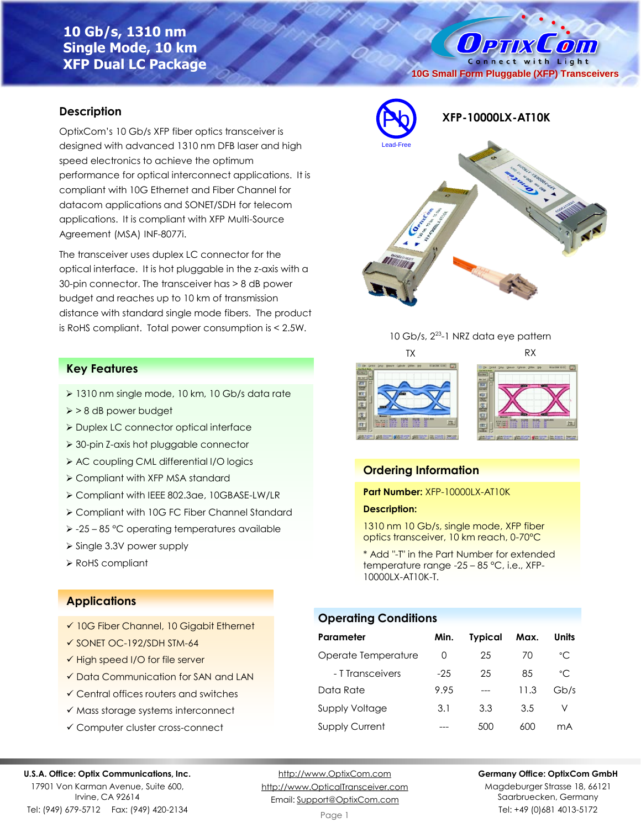# **10 Gb/s, 1310 nm Single Mode, 10 km XFP Dual LC Package**

Connect with Light **10G Small Form Pluggable (XFP) Transceivers**

O PTIX COM

### **Description**

OptixCom's 10 Gb/s XFP fiber optics transceiver is designed with advanced 1310 nm DFB laser and high speed electronics to achieve the optimum performance for optical interconnect applications. It is compliant with 10G Ethernet and Fiber Channel for datacom applications and SONET/SDH for telecom applications. It is compliant with XFP Multi-Source Agreement (MSA) INF-8077i.

The transceiver uses duplex LC connector for the optical interface. It is hot pluggable in the z-axis with a 30-pin connector. The transceiver has > 8 dB power budget and reaches up to 10 km of transmission distance with standard single mode fibers. The product is RoHS compliant. Total power consumption is < 2.5W.

### **Key Features**

- ➢ 1310 nm single mode, 10 km, 10 Gb/s data rate
- ➢ > 8 dB power budget
- ➢ Duplex LC connector optical interface
- ➢ 30-pin Z-axis hot pluggable connector
- ➢ AC coupling CML differential I/O logics
- ➢ Compliant with XFP MSA standard
- ➢ Compliant with IEEE 802.3ae, 10GBASE-LW/LR
- ➢ Compliant with 10G FC Fiber Channel Standard
- ➢ -25 85 °C operating temperatures available
- ➢ Single 3.3V power supply
- ➢ RoHS compliant

## **Applications**

- ✓ 10G Fiber Channel, 10 Gigabit Ethernet
- ✓ SONET OC-192/SDH STM-64
- ✓ High speed I/O for file server
- ✓ Data Communication for SAN and LAN
- ✓ Central offices routers and switches
- ✓ Mass storage systems interconnect
- ✓ Computer cluster cross-connect

#### **U.S.A. Office: Optix Communications, Inc.**

17901 Von Karman Avenue, Suite 600, Irvine, CA 92614 Tel: (949) 679-5712 Fax: (949) 420-2134

[http://www.OptixCom.com](http://www.optixcom.com/) [http://www.OpticalTransceiver.com](http://www.optoictech.com/) Email: [Support@OptixCom.com](mailto:Support@optoICtech.com)







### **Ordering Information**

**Part Number:** XFP-10000LX-AT10K

#### **Description:**

1310 nm 10 Gb/s, single mode, XFP fiber optics transceiver, 10 km reach, 0-70°C

\* Add "-T" in the Part Number for extended temperature range -25 – 85 °C, i.e., XFP-10000LX-AT10K-T.

### **Operating Conditions**

| Parameter             | Min.             | <b>Typical</b> | Max. | Units        |
|-----------------------|------------------|----------------|------|--------------|
| Operate Temperature   | $\left( \right)$ | 25             | 70   | $^{\circ}$ C |
| - T Transceivers      | $-2.5$           | 25             | 85   | $^{\circ}$ C |
| Data Rate             | 9.95             |                | 11.3 | Gb/s         |
| Supply Voltage        | 3.1              | 3.3            | 3.5  | V            |
| <b>Supply Current</b> |                  | 500            | 600  | mA           |

#### **Germany Office: OptixCom GmbH**

Magdeburger Strasse 18, 66121 Saarbruecken, Germany Tel: +49 (0)681 4013-5172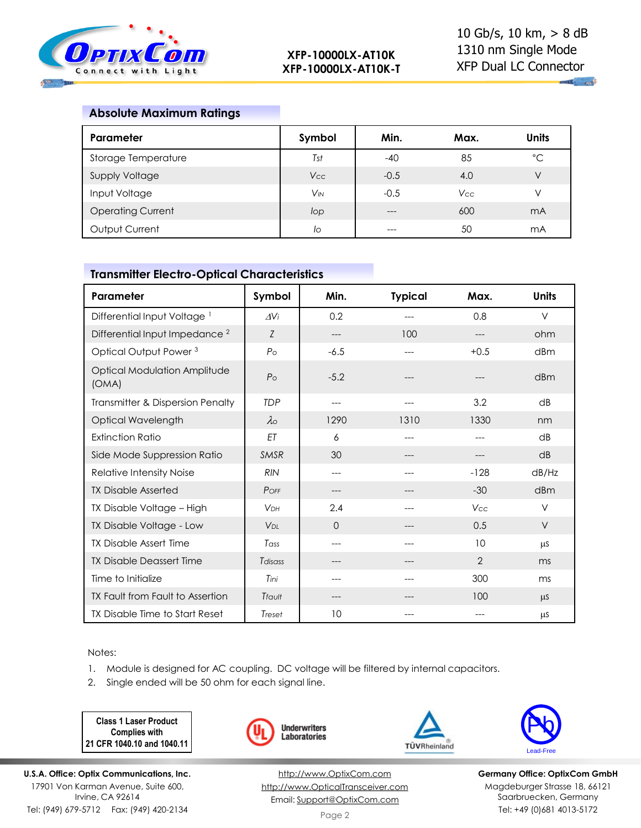

 $\mathbf{u}_1$  and

### **Absolute Maximum Ratings**

| <b>Parameter</b>         | Symbol                | Min.   | Max.       | <b>Units</b> |
|--------------------------|-----------------------|--------|------------|--------------|
| Storage Temperature      | Tst                   | $-40$  | 85         | $^{\circ}$ C |
| Supply Voltage           | <b>Vcc</b>            | $-0.5$ | 4.0        | V            |
| Input Voltage            | <b>V<sub>IN</sub></b> | $-0.5$ | <b>Vcc</b> |              |
| <b>Operating Current</b> | lop                   | $---$  | 600        | mA           |
| Output Current           | lo                    |        | 50         | mA           |

# **Transmitter Electro-Optical Characteristics**

| Parameter                                    | Symbol                | Min.   | <b>Typical</b> | Max.           | <b>Units</b> |
|----------------------------------------------|-----------------------|--------|----------------|----------------|--------------|
| Differential Input Voltage <sup>1</sup>      | $\Delta V_i$          | 0.2    |                | 0.8            | V            |
| Differential Input Impedance <sup>2</sup>    | Z                     | ---    | 100            |                | ohm          |
| Optical Output Power <sup>3</sup>            | P <sub>O</sub>        | $-6.5$ | ---            | $+0.5$         | dBm          |
| <b>Optical Modulation Amplitude</b><br>(OMA) | P <sub>O</sub>        | $-5.2$ | ---            |                | dBm          |
| Transmitter & Dispersion Penalty             | <b>TDP</b>            | ---    | ---            | 3.2            | dB           |
| Optical Wavelength                           | $\lambda$             | 1290   | 1310           | 1330           | nm           |
| <b>Extinction Ratio</b>                      | ET                    | 6      | ---            | $---$          | dB           |
| Side Mode Suppression Ratio                  | SMSR                  | 30     | ---            | ---            | dB           |
| Relative Intensity Noise                     | <b>RIN</b>            | ---    | ---            | $-128$         | dB/Hz        |
| <b>TX Disable Asserted</b>                   | POFF                  | ---    |                | $-30$          | dBm          |
| TX Disable Voltage - High                    | <b>V<sub>DH</sub></b> | 2.4    |                | Vcc            | V            |
| TX Disable Voltage - Low                     | <b>V<sub>DL</sub></b> | 0      |                | 0.5            | V            |
| <b>TX Disable Assert Time</b>                | Tass                  | ---    | $---$          | 10             | μS           |
| <b>TX Disable Deassert Time</b>              | Tdisass               | ---    |                | $\overline{2}$ | ms           |
| Time to Initialize                           | Tini                  | ---    | ---            | 300            | ms           |
| TX Fault from Fault to Assertion             | Tfault                | ---    |                | 100            | $\mu$ S      |
| TX Disable Time to Start Reset               | Treset                | 10     |                |                | μS           |

Notes:

- 1. Module is designed for AC coupling. DC voltage will be filtered by internal capacitors.
- 2. Single ended will be 50 ohm for each signal line.

**Class 1 Laser Product Complies with 21 CFR 1040.10 and 1040.11**

**U.S.A. Office: Optix Communications, Inc.** 17901 Von Karman Avenue, Suite 600, Irvine, CA 92614 Tel: (949) 679-5712 Fax: (949) 420-2134



[http://www.OptixCom.com](http://www.optixcom.com/) [http://www.OpticalTransceiver.com](http://www.optoictech.com/) Email: [Support@OptixCom.com](mailto:Support@optoICtech.com)





**Germany Office: OptixCom GmbH** Magdeburger Strasse 18, 66121 Saarbruecken, Germany Tel: +49 (0)681 4013-5172